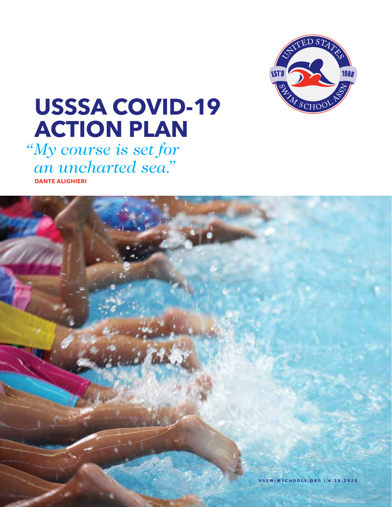

# **USSSA COVID-19 ACTION PLAN**

*My course is set for "an uncharted sea."* **DANTE ALIGHIERI**

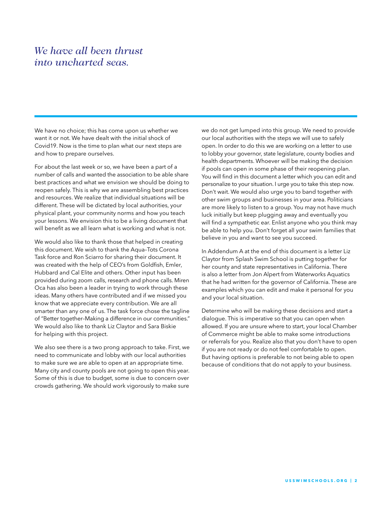### *We have all been thrust into uncharted seas.*

We have no choice; this has come upon us whether we want it or not. We have dealt with the initial shock of Covid19. Now is the time to plan what our next steps are and how to prepare ourselves.

For about the last week or so, we have been a part of a number of calls and wanted the association to be able share best practices and what we envision we should be doing to reopen safely. This is why we are assembling best practices and resources. We realize that individual situations will be different. These will be dictated by local authorities, your physical plant, your community norms and how you teach your lessons. We envision this to be a living document that will benefit as we all learn what is working and what is not.

We would also like to thank those that helped in creating this document. We wish to thank the Aqua–Tots Corona Task force and Ron Sciarro for sharing their document. It was created with the help of CEO's from Goldfish, Emler, Hubbard and Cal Elite and others. Other input has been provided during zoom calls, research and phone calls. Miren Oca has also been a leader in trying to work through these ideas. Many others have contributed and if we missed you know that we appreciate every contribution. We are all smarter than any one of us. The task force chose the tagline of "Better together–Making a difference in our communities." We would also like to thank Liz Claytor and Sara Biskie for helping with this project.

We also see there is a two prong approach to take. First, we need to communicate and lobby with our local authorities to make sure we are able to open at an appropriate time. Many city and county pools are not going to open this year. Some of this is due to budget, some is due to concern over crowds gathering. We should work vigorously to make sure

we do not get lumped into this group. We need to provide our local authorities with the steps we will use to safely open. In order to do this we are working on a letter to use to lobby your governor, state legislature, county bodies and health departments. Whoever will be making the decision if pools can open in some phase of their reopening plan. You will find in this document a letter which you can edit and personalize to your situation. I urge you to take this step now. Don't wait. We would also urge you to band together with other swim groups and businesses in your area. Politicians are more likely to listen to a group. You may not have much luck initially but keep plugging away and eventually you will find a sympathetic ear. Enlist anyone who you think may be able to help you. Don't forget all your swim families that believe in you and want to see you succeed.

In Addendum A at the end of this document is a letter Liz Claytor from Splash Swim School is putting together for her county and state representatives in California. There is also a letter from Jon Alpert from Waterworks Aquatics that he had written for the governor of California. These are examples which you can edit and make it personal for you and your local situation.

Determine who will be making these decisions and start a dialogue. This is imperative so that you can open when allowed. If you are unsure where to start, your local Chamber of Commerce might be able to make some introductions or referrals for you. Realize also that you don't have to open if you are not ready or do not feel comfortable to open. But having options is preferable to not being able to open because of conditions that do not apply to your business.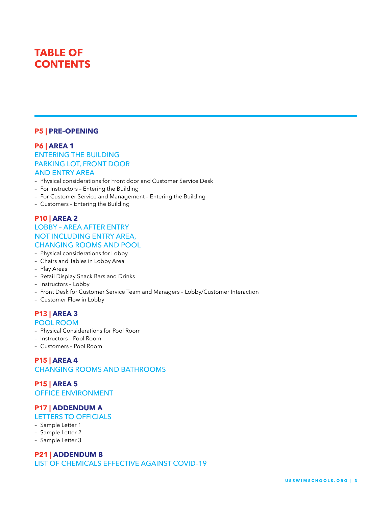# **TABLE OF CONTENTS**

### **P5 | PRE–OPENING**

### **P6 | AREA 1**

### ENTERING THE BUILDING PARKING LOT, FRONT DOOR AND ENTRY AREA

- Physical considerations for Front door and Customer Service Desk
- For Instructors Entering the Building
- For Customer Service and Management Entering the Building
- Customers Entering the Building

### **P10 | AREA 2**

### LOBBY – AREA AFTER ENTRY NOT INCLUDING ENTRY AREA, CHANGING ROOMS AND POOL

- Physical considerations for Lobby
- Chairs and Tables in Lobby Area
- Play Areas
- Retail Display Snack Bars and Drinks
- Instructors Lobby
- Front Desk for Customer Service Team and Managers Lobby/Customer Interaction
- Customer Flow in Lobby

### **P13 | AREA 3**

#### POOL ROOM

- Physical Considerations for Pool Room
- Instructors Pool Room
- Customers Pool Room

### **P15 | AREA 4** CHANGING ROOMS AND BATHROOMS

**P15 | AREA 5** OFFICE ENVIRONMENT

### **P17 | ADDENDUM A**

### LETTERS TO OFFICIALS

- Sample Letter 1
- Sample Letter 2
- Sample Letter 3

### **P21 | ADDENDUM B**

LIST OF CHEMICALS EFFECTIVE AGAINST COVID–19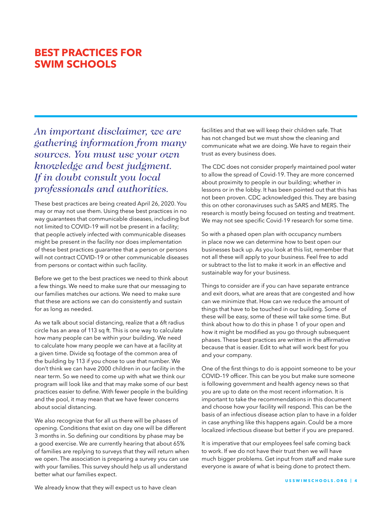### **BEST PRACTICES FOR SWIM SCHOOLS**

*An important disclaimer, we are gathering information from many sources. You must use your own knowledge and best judgment. If in doubt consult you local professionals and authorities.*

These best practices are being created April 26, 2020. You may or may not use them. Using these best practices in no way guarantees that communicable diseases, including but not limited to COVID–19 will not be present in a facility; that people actively infected with communicable diseases might be present in the facility nor does implementation of these best practices guarantee that a person or persons will not contract COVID–19 or other communicable diseases from persons or contact within such facility.

Before we get to the best practices we need to think about a few things. We need to make sure that our messaging to our families matches our actions. We need to make sure that these are actions we can do consistently and sustain for as long as needed.

As we talk about social distancing, realize that a 6ft radius circle has an area of 113 sq ft. This is one way to calculate how many people can be within your building. We need to calculate how many people we can have at a facility at a given time. Divide sq footage of the common area of the building by 113 if you chose to use that number. We don't think we can have 2000 children in our facility in the near term. So we need to come up with what we think our program will look like and that may make some of our best practices easier to define. With fewer people in the building and the pool, it may mean that we have fewer concerns about social distancing.

We also recognize that for all us there will be phases of opening. Conditions that exist on day one will be different 3 months in. So defining our conditions by phase may be a good exercise. We are currently hearing that about 65% of families are replying to surveys that they will return when we open. The association is preparing a survey you can use with your families. This survey should help us all understand better what our families expect.

facilities and that we will keep their children safe. That has not changed but we must show the cleaning and communicate what we are doing. We have to regain their trust as every business does.

The CDC does not consider properly maintained pool water to allow the spread of Covid-19. They are more concerned about proximity to people in our building; whether in lessons or in the lobby. It has been pointed out that this has not been proven. CDC acknowledged this. They are basing this on other coronaviruses such as SARS and MERS. The research is mostly being focused on testing and treatment. We may not see specific Covid-19 research for some time.

So with a phased open plan with occupancy numbers in place now we can determine how to best open our businesses back up. As you look at this list, remember that not all these will apply to your business. Feel free to add or subtract to the list to make it work in an effective and sustainable way for your business.

Things to consider are if you can have separate entrance and exit doors, what are areas that are congested and how can we minimize that. How can we reduce the amount of things that have to be touched in our building. Some of these will be easy, some of these will take some time. But think about how to do this in phase 1 of your open and how it might be modified as you go through subsequent phases. These best practices are written in the affirmative because that is easier. Edit to what will work best for you and your company.

One of the first things to do is appoint someone to be your COVID–19 officer. This can be you but make sure someone is following government and health agency news so that you are up to date on the most recent information. It is important to take the recommendations in this document and choose how your facility will respond. This can be the basis of an infectious disease action plan to have in a folder in case anything like this happens again. Could be a more localized infectious disease but better if you are prepared.

It is imperative that our employees feel safe coming back to work. If we do not have their trust then we will have much bigger problems. Get input from staff and make sure everyone is aware of what is being done to protect them.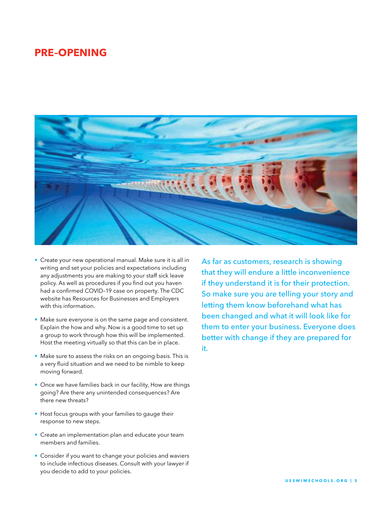### **PRE–OPENING**



- Create your new operational manual. Make sure it is all in writing and set your policies and expectations including any adjustments you are making to your staff sick leave policy. As well as procedures if you find out you haven had a confirmed COVID–19 case on property. The CDC website has Resources for Businesses and Employers with this information.
- Make sure everyone is on the same page and consistent. Explain the how and why. Now is a good time to set up a group to work through how this will be implemented. Host the meeting virtually so that this can be in place.
- Make sure to assess the risks on an ongoing basis. This is a very fluid situation and we need to be nimble to keep moving forward.
- Once we have families back in our facility, How are things going? Are there any unintended consequences? Are there new threats?
- Host focus groups with your families to gauge their response to new steps.
- Create an implementation plan and educate your team members and families.
- Consider if you want to change your policies and waviers to include infectious diseases. Consult with your lawyer if you decide to add to your policies.

As far as customers, research is showing that they will endure a little inconvenience if they understand it is for their protection. So make sure you are telling your story and letting them know beforehand what has been changed and what it will look like for them to enter your business. Everyone does better with change if they are prepared for it.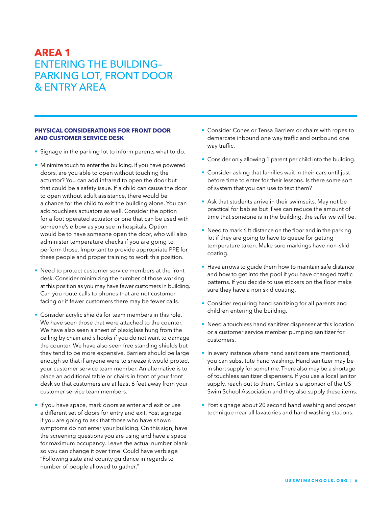#### **PHYSICAL CONSIDERATIONS FOR FRONT DOOR AND CUSTOMER SERVICE DESK**

- Signage in the parking lot to inform parents what to do.
- Minimize touch to enter the building. If you have powered doors, are you able to open without touching the actuator? You can add infrared to open the door but that could be a safety issue. If a child can cause the door to open without adult assistance, there would be a chance for the child to exit the building alone. You can add touchless actuators as well. Consider the option for a foot operated actuator or one that can be used with someone's elbow as you see in hospitals. Option would be to have someone open the door, who will also administer temperature checks if you are going to perform those. Important to provide appropriate PPE for these people and proper training to work this position.
- Need to protect customer service members at the front desk. Consider minimizing the number of those working at this position as you may have fewer customers in building. Can you route calls to phones that are not customer facing or if fewer customers there may be fewer calls.
- Consider acrylic shields for team members in this role. We have seen those that were attached to the counter. We have also seen a sheet of plexiglass hung from the ceiling by chain and s hooks if you do not want to damage the counter. We have also seen free standing shields but they tend to be more expensive. Barriers should be large enough so that if anyone were to sneeze it would protect your customer service team member. An alternative is to place an additional table or chairs in front of your front desk so that customers are at least 6 feet away from your customer service team members.
- If you have space, mark doors as enter and exit or use a different set of doors for entry and exit. Post signage if you are going to ask that those who have shown symptoms do not enter your building. On this sign, have the screening questions you are using and have a space for maximum occupancy. Leave the actual number blank so you can change it over time. Could have verbiage "Following state and county guidance in regards to number of people allowed to gather."
- Consider Cones or Tensa Barriers or chairs with ropes to demarcate inbound one way traffic and outbound one way traffic.
- Consider only allowing 1 parent per child into the building.
- Consider asking that families wait in their cars until just before time to enter for their lessons. Is there some sort of system that you can use to text them?
- Ask that students arrive in their swimsuits. May not be practical for babies but if we can reduce the amount of time that someone is in the building, the safer we will be.
- Need to mark 6 ft distance on the floor and in the parking lot if they are going to have to queue for getting temperature taken. Make sure markings have non–skid coating.
- Have arrows to guide them how to maintain safe distance and how to get into the pool if you have changed traffic patterns. If you decide to use stickers on the floor make sure they have a non skid coating.
- Consider requiring hand sanitizing for all parents and children entering the building.
- Need a touchless hand sanitizer dispenser at this location or a customer service member pumping sanitizer for customers.
- In every instance where hand sanitizers are mentioned, you can substitute hand washing. Hand sanitizer may be in short supply for sometime. There also may be a shortage of touchless sanitizer dispensers. If you use a local janitor supply, reach out to them. Cintas is a sponsor of the US Swim School Association and they also supply these items.
- Post signage about 20 second hand washing and proper technique near all lavatories and hand washing stations.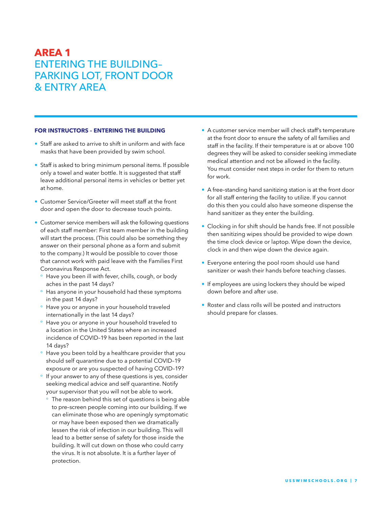#### **FOR INSTRUCTORS – ENTERING THE BUILDING**

- Staff are asked to arrive to shift in uniform and with face masks that have been provided by swim school.
- Staff is asked to bring minimum personal items. If possible only a towel and water bottle. It is suggested that staff leave additional personal items in vehicles or better yet at home.
- Customer Service/Greeter will meet staff at the front door and open the door to decrease touch points.
- Customer service members will ask the following questions of each staff member: First team member in the building will start the process. (This could also be something they answer on their personal phone as a form and submit to the company.) It would be possible to cover those that cannot work with paid leave with the Families First Coronavirus Response Act.
	- Have you been ill with fever, chills, cough, or body aches in the past 14 days?
	- Has anyone in your household had these symptoms in the past 14 days?
	- ° Have you or anyone in your household traveled internationally in the last 14 days?
	- Have you or anyone in your household traveled to a location in the United States where an increased incidence of COVID–19 has been reported in the last 14 days?
	- Have you been told by a healthcare provider that you should self quarantine due to a potential COVID–19 exposure or are you suspected of having COVID–19?
	- If your answer to any of these questions is yes, consider seeking medical advice and self quarantine. Notify your supervisor that you will not be able to work.
		- ° The reason behind this set of questions is being able to pre–screen people coming into our building. If we can eliminate those who are openingly symptomatic or may have been exposed then we dramatically lessen the risk of infection in our building. This will lead to a better sense of safety for those inside the building. It will cut down on those who could carry the virus. It is not absolute. It is a further layer of protection.
- A customer service member will check staff's temperature at the front door to ensure the safety of all families and staff in the facility. If their temperature is at or above 100 degrees they will be asked to consider seeking immediate medical attention and not be allowed in the facility. You must consider next steps in order for them to return for work.
- A free–standing hand sanitizing station is at the front door for all staff entering the facility to utilize. If you cannot do this then you could also have someone dispense the hand sanitizer as they enter the building.
- Clocking in for shift should be hands free. If not possible then sanitizing wipes should be provided to wipe down the time clock device or laptop. Wipe down the device, clock in and then wipe down the device again.
- Everyone entering the pool room should use hand sanitizer or wash their hands before teaching classes.
- If employees are using lockers they should be wiped down before and after use.
- Roster and class rolls will be posted and instructors should prepare for classes.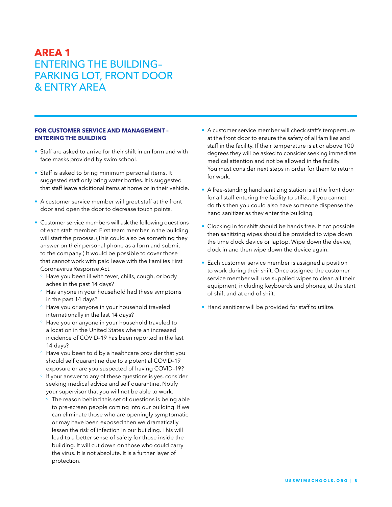#### **FOR CUSTOMER SERVICE AND MANAGEMENT – ENTERING THE BUILDING**

- Staff are asked to arrive for their shift in uniform and with face masks provided by swim school.
- Staff is asked to bring minimum personal items. It suggested staff only bring water bottles. It is suggested that staff leave additional items at home or in their vehicle.
- A customer service member will greet staff at the front door and open the door to decrease touch points.
- Customer service members will ask the following questions of each staff member: First team member in the building will start the process. (This could also be something they answer on their personal phone as a form and submit to the company.) It would be possible to cover those that cannot work with paid leave with the Families First Coronavirus Response Act.
	- ° Have you been ill with fever, chills, cough, or body aches in the past 14 days?
	- Has anyone in your household had these symptoms in the past 14 days?
	- ° Have you or anyone in your household traveled internationally in the last 14 days?
	- Have you or anyone in your household traveled to a location in the United States where an increased incidence of COVID–19 has been reported in the last 14 days?
	- Have you been told by a healthcare provider that you should self quarantine due to a potential COVID–19 exposure or are you suspected of having COVID–19?
	- If your answer to any of these questions is yes, consider seeking medical advice and self quarantine. Notify your supervisor that you will not be able to work.
		- The reason behind this set of questions is being able to pre–screen people coming into our building. If we can eliminate those who are openingly symptomatic or may have been exposed then we dramatically lessen the risk of infection in our building. This will lead to a better sense of safety for those inside the building. It will cut down on those who could carry the virus. It is not absolute. It is a further layer of protection.
- A customer service member will check staff's temperature at the front door to ensure the safety of all families and staff in the facility. If their temperature is at or above 100 degrees they will be asked to consider seeking immediate medical attention and not be allowed in the facility. You must consider next steps in order for them to return for work.
- A free–standing hand sanitizing station is at the front door for all staff entering the facility to utilize. If you cannot do this then you could also have someone dispense the hand sanitizer as they enter the building.
- Clocking in for shift should be hands free. If not possible then sanitizing wipes should be provided to wipe down the time clock device or laptop. Wipe down the device, clock in and then wipe down the device again.
- Each customer service member is assigned a position to work during their shift. Once assigned the customer service member will use supplied wipes to clean all their equipment, including keyboards and phones, at the start of shift and at end of shift.
- Hand sanitizer will be provided for staff to utilize.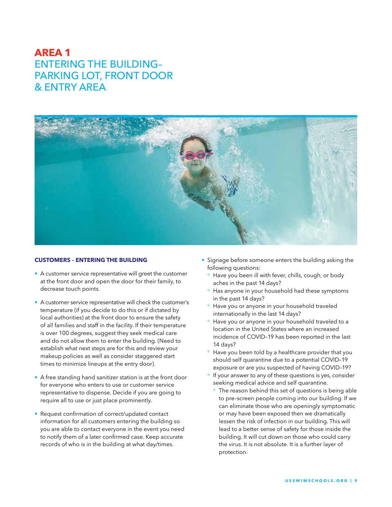

#### **CUSTOMERS – ENTERING THE BUILDING**

- A customer service representative will greet the customer at the front door and open the door for their family, to decrease touch points.
- A customer service representative will check the customer's temperature (if you decide to do this or if dictated by local authorities) at the front door to ensure the safety of all families and staff in the facility. If their temperature is over 100 degrees, suggest they seek medical care and do not allow them to enter the building. (Need to establish what next steps are for this and review your makeup policies as well as consider staggered start times to minimize lineups at the entry door).
- A free standing hand sanitizer station is at the front door for everyone who enters to use or customer service representative to dispense. Decide if you are going to require all to use or just place prominently.
- Request confirmation of correct/updated contact information for all customers entering the building so you are able to contact everyone in the event you need to notify them of a later confirmed case. Keep accurate records of who is in the building at what day/times.
- Signage before someone enters the building asking the following questions:
	- ° Have you been ill with fever, chills, cough, or body aches in the past 14 days?
	- Has anyone in your household had these symptoms in the past 14 days?
	- ° Have you or anyone in your household traveled internationally in the last 14 days?
	- ° Have you or anyone in your household traveled to a location in the United States where an increased incidence of COVID–19 has been reported in the last 14 days?
	- Have you been told by a healthcare provider that you should self quarantine due to a potential COVID–19 exposure or are you suspected of having COVID–19?
	- ° If your answer to any of these questions is yes, consider seeking medical advice and self quarantine.
		- The reason behind this set of questions is being able to pre–screen people coming into our building. If we can eliminate those who are openingly symptomatic or may have been exposed then we dramatically lessen the risk of infection in our building. This will lead to a better sense of safety for those inside the building. It will cut down on those who could carry the virus. It is not absolute. It is a further layer of protection.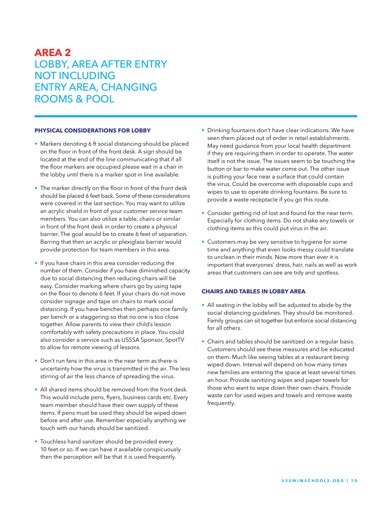### **AREA 2** LOBBY, AREA AFTER ENTRY NOT INCLUDING ENTRY AREA, CHANGING ROOMS & POOL

#### **PHYSICAL CONSIDERATIONS FOR LOBBY**

- Markers denoting 6 ft social distancing should be placed on the floor in front of the front desk. A sign should be located at the end of the line communicating that if all the floor markers are occupied please wait in a chair in the lobby until there is a marker spot in line available.
- The marker directly on the floor in front of the front desk should be placed 6 feet back. Some of these considerations were covered in the last section. You may want to utilize an acrylic shield in front of your customer service team members. You can also utilize a table, chairs or similar in front of the front desk in order to create a physical barrier. The goal would be to create 6 feet of separation. Barring that then an acrylic or plexiglass barrier would provide protection for team members in this area.
- If you have chairs in this area consider reducing the number of them. Consider if you have diminished capacity due to social distancing then reducing chairs will be easy. Consider marking where chairs go by using tape on the floor to denote 6 feet. If your chairs do not move consider signage and tape on chairs to mark social distancing. If you have benches then perhaps one family per bench or a staggering so that no one is too close together. Allow parents to view their child's lesson comfortably with safety precautions in place. You could also consider a service such as USSSA Sponsor, SpotTV to allow for remote viewing of lessons.
- Don't run fans in this area in the near term as there is uncertainty how the virus is transmitted in the air. The less stirring of air the less chance of spreading the virus.
- All shared items should be removed from the front desk. This would include pens, flyers, business cards etc. Every team member should have their own supply of these items. If pens must be used they should be wiped down before and after use. Remember especially anything we touch with our hands should be sanitized.
- Touchless hand sanitizer should be provided every 10 feet or so. If we can have it available conspicuously then the perception will be that it is used frequently.
- Drinking fountains don't have clear indications. We have seen them placed out of order in retail establishments. May need guidance from your local health department if they are requiring them in order to operate. The water itself is not the issue. The issues seem to be touching the button or bar to make water come out. The other issue is putting your face near a surface that could contain the virus. Could be overcome with disposable cups and wipes to use to operate drinking fountains. Be sure to provide a waste receptacle if you go this route.
- Consider getting rid of lost and found for the near term. Especially for clothing items. Do not shake any towels or clothing items as this could put virus in the air.
- Customers may be very sensitive to hygiene for some time and anything that even looks messy could translate to unclean in their minds. Now more than ever it is important that everyones' dress, hair, nails as well as work areas that customers can see are tidy and spotless.

#### **CHAIRS AND TABLES IN LOBBY AREA**

- All seating in the lobby will be adjusted to abide by the social distancing guidelines. They should be monitored. Family groups can sit together but enforce social distancing for all others.
- Chairs and tables should be sanitized on a regular basis. Customers should see these measures and be educated on them. Much like seeing tables at a restaurant being wiped down. Interval will depend on how many times new families are entering the space at least several times an hour. Provide sanitizing wipes and paper towels for those who want to wipe down their own chairs. Provide waste can for used wipes and towels and remove waste frequently.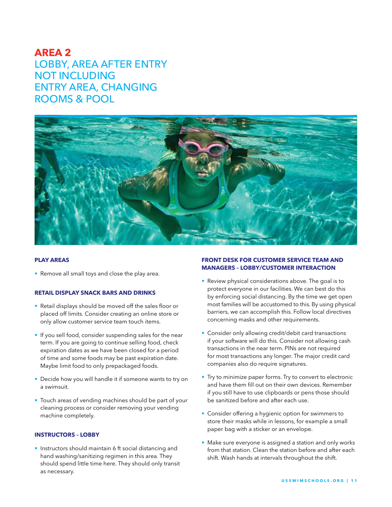### **AREA 2** LOBBY, AREA AFTER ENTRY NOT INCLUDING ENTRY AREA, CHANGING ROOMS & POOL



#### **PLAY AREAS**

• Remove all small toys and close the play area.

#### **RETAIL DISPLAY SNACK BARS AND DRINKS**

- Retail displays should be moved off the sales floor or placed off limits. Consider creating an online store or only allow customer service team touch items.
- If you sell food, consider suspending sales for the near term. If you are going to continue selling food, check expiration dates as we have been closed for a period of time and some foods may be past expiration date. Maybe limit food to only prepackaged foods.
- Decide how you will handle it if someone wants to try on a swimsuit.
- Touch areas of vending machines should be part of your cleaning process or consider removing your vending machine completely.

#### **INSTRUCTORS – LOBBY**

• Instructors should maintain 6 ft social distancing and hand washing/sanitizing regimen in this area. They should spend little time here. They should only transit as necessary.

#### **FRONT DESK FOR CUSTOMER SERVICE TEAM AND MANAGERS – LOBBY/CUSTOMER INTERACTION**

- Review physical considerations above. The goal is to protect everyone in our facilities. We can best do this by enforcing social distancing. By the time we get open most families will be accustomed to this. By using physical barriers, we can accomplish this. Follow local directives concerning masks and other requirements.
- Consider only allowing credit/debit card transactions if your software will do this. Consider not allowing cash transactions in the near term. PINs are not required for most transactions any longer. The major credit card companies also do require signatures.
- Try to minimize paper forms. Try to convert to electronic and have them fill out on their own devices. Remember if you still have to use clipboards or pens those should be sanitized before and after each use.
- Consider offering a hygienic option for swimmers to store their masks while in lessons, for example a small paper bag with a sticker or an envelope.
- Make sure everyone is assigned a station and only works from that station. Clean the station before and after each shift. Wash hands at intervals throughout the shift.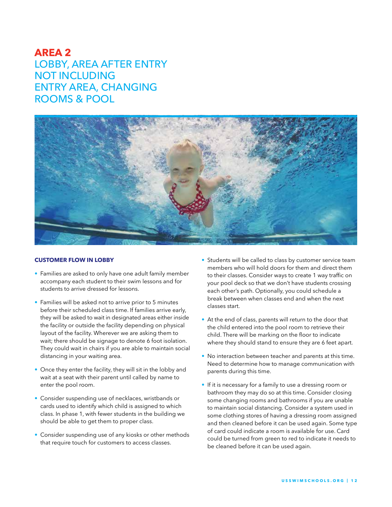### **AREA 2** LOBBY, AREA AFTER ENTRY NOT INCLUDING ENTRY AREA, CHANGING ROOMS & POOL



#### **CUSTOMER FLOW IN LOBBY**

- Families are asked to only have one adult family member accompany each student to their swim lessons and for students to arrive dressed for lessons.
- Families will be asked not to arrive prior to 5 minutes before their scheduled class time. If families arrive early, they will be asked to wait in designated areas either inside the facility or outside the facility depending on physical layout of the facility. Wherever we are asking them to wait; there should be signage to denote 6 foot isolation. They could wait in chairs if you are able to maintain social distancing in your waiting area.
- Once they enter the facility, they will sit in the lobby and wait at a seat with their parent until called by name to enter the pool room.
- Consider suspending use of necklaces, wristbands or cards used to identify which child is assigned to which class. In phase 1, with fewer students in the building we should be able to get them to proper class.
- Consider suspending use of any kiosks or other methods that require touch for customers to access classes.
- Students will be called to class by customer service team members who will hold doors for them and direct them to their classes. Consider ways to create 1 way traffic on your pool deck so that we don't have students crossing each other's path. Optionally, you could schedule a break between when classes end and when the next classes start.
- At the end of class, parents will return to the door that the child entered into the pool room to retrieve their child. There will be marking on the floor to indicate where they should stand to ensure they are 6 feet apart.
- No interaction between teacher and parents at this time. Need to determine how to manage communication with parents during this time.
- If it is necessary for a family to use a dressing room or bathroom they may do so at this time. Consider closing some changing rooms and bathrooms if you are unable to maintain social distancing. Consider a system used in some clothing stores of having a dressing room assigned and then cleaned before it can be used again. Some type of card could indicate a room is available for use. Card could be turned from green to red to indicate it needs to be cleaned before it can be used again.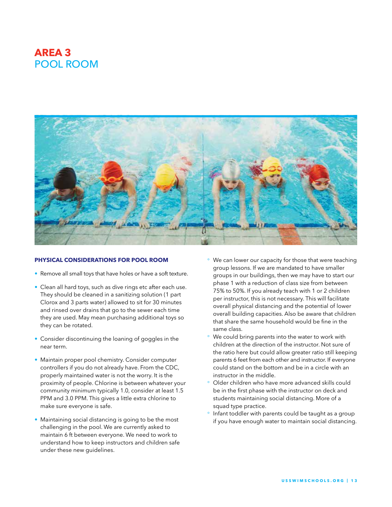# **AREA 3** POOL ROOM



#### **PHYSICAL CONSIDERATIONS FOR POOL ROOM**

- Remove all small toys that have holes or have a soft texture.
- Clean all hard toys, such as dive rings etc after each use. They should be cleaned in a sanitizing solution (1 part Clorox and 3 parts water) allowed to sit for 30 minutes and rinsed over drains that go to the sewer each time they are used. May mean purchasing additional toys so they can be rotated.
- Consider discontinuing the loaning of goggles in the near term.
- Maintain proper pool chemistry. Consider computer controllers if you do not already have. From the CDC, properly maintained water is not the worry. It is the proximity of people. Chlorine is between whatever your community minimum typically 1.0, consider at least 1.5 PPM and 3.0 PPM. This gives a little extra chlorine to make sure everyone is safe.
- Maintaining social distancing is going to be the most challenging in the pool. We are currently asked to maintain 6 ft between everyone. We need to work to understand how to keep instructors and children safe under these new guidelines.
- We can lower our capacity for those that were teaching group lessons. If we are mandated to have smaller groups in our buildings, then we may have to start our phase 1 with a reduction of class size from between 75% to 50%. If you already teach with 1 or 2 children per instructor, this is not necessary. This will facilitate overall physical distancing and the potential of lower overall building capacities. Also be aware that children that share the same household would be fine in the same class.
- We could bring parents into the water to work with children at the direction of the instructor. Not sure of the ratio here but could allow greater ratio still keeping parents 6 feet from each other and instructor. If everyone could stand on the bottom and be in a circle with an instructor in the middle.
- ° Older children who have more advanced skills could be in the first phase with the instructor on deck and students maintaining social distancing. More of a squad type practice.
- Infant toddler with parents could be taught as a group if you have enough water to maintain social distancing.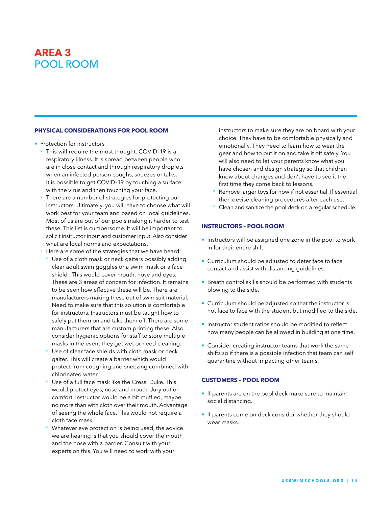# **AREA 3** POOL ROOM

#### **PHYSICAL CONSIDERATIONS FOR POOL ROOM**

- Protection for instructors
	- ° This will require the most thought. COVID–19 is a respiratory illness. It is spread between people who are in close contact and through respiratory droplets when an infected person coughs, sneezes or talks. It is possible to get COVID–19 by touching a surface with the virus and then touching your face.
	- There are a number of strategies for protecting our instructors. Ultimately, you will have to choose what will work best for your team and based on local guidelines. Most of us are out of our pools making it harder to test these. This list is cumbersome. It will be important to solicit instructor input and customer input. Also consider what are local norms and expectations.
	- Here are some of the strategies that we have heard:
	- ° Use of a cloth mask or neck gaiters possibly adding clear adult swim goggles or a swim mask or a face shield . This would cover mouth, nose and eyes. These are 3 areas of concern for infection. It remains to be seen how effective these will be. There are manufacturers making these out of swimsuit material. Need to make sure that this solution is comfortable for instructors. Instructors must be taught how to safely put them on and take them off. There are some manufacturers that are custom printing these. Also consider hygienic options for staff to store multiple masks in the event they get wet or need cleaning.
	- Use of clear face shields with cloth mask or neck gaiter. This will create a barrier which would protect from coughing and sneezing combined with chlorinated water.
	- ° Use of a full face mask like the Cressi Duke. This would protect eyes, nose and mouth. Jury out on comfort. Instructor would be a bit muffled, maybe no more than with cloth over their mouth. Advantage of seeing the whole face. This would not require a cloth face mask.
	- Whatever eye protection is being used, the advice we are hearing is that you should cover the mouth and the nose with a barrier. Consult with your experts on this. You will need to work with your

instructors to make sure they are on board with your choice. They have to be comfortable physically and emotionally. They need to learn how to wear the gear and how to put it on and take it off safely. You will also need to let your parents know what you have chosen and design strategy so that children know about changes and don't have to see it the first time they come back to lessons.

- Remove larger toys for now if not essential. If essential then devise cleaning procedures after each use.
- ° Clean and sanitize the pool deck on a regular schedule.

#### **INSTRUCTORS – POOL ROOM**

- Instructors will be assigned one zone in the pool to work in for their entire shift.
- Curriculum should be adjusted to deter face to face contact and assist with distancing guidelines.
- Breath control skills should be performed with students blowing to the side.
- Curriculum should be adjusted so that the instructor is not face to face with the student but modified to the side.
- Instructor student ratios should be modified to reflect how many people can be allowed in building at one time.
- Consider creating instructor teams that work the same shifts so if there is a possible infection that team can self quarantine without impacting other teams.

#### **CUSTOMERS – POOL ROOM**

- If parents are on the pool deck make sure to maintain social distancing.
- If parents come on deck consider whether they should wear masks.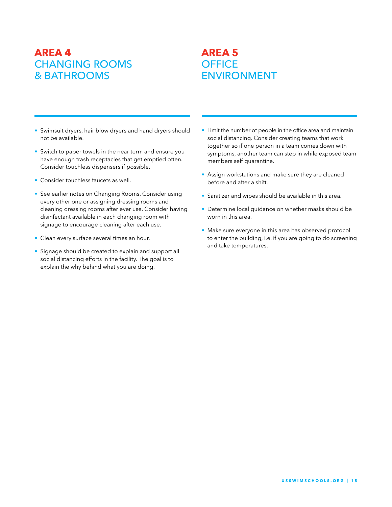# **AREA 4** CHANGING ROOMS & BATHROOMS

### **AREA 5 OFFICE** ENVIRONMENT

- Swimsuit dryers, hair blow dryers and hand dryers should not be available.
- Switch to paper towels in the near term and ensure you have enough trash receptacles that get emptied often. Consider touchless dispensers if possible.
- Consider touchless faucets as well.
- See earlier notes on Changing Rooms. Consider using every other one or assigning dressing rooms and cleaning dressing rooms after ever use. Consider having disinfectant available in each changing room with signage to encourage cleaning after each use.
- Clean every surface several times an hour.
- Signage should be created to explain and support all social distancing efforts in the facility. The goal is to explain the why behind what you are doing.
- Limit the number of people in the office area and maintain social distancing. Consider creating teams that work together so if one person in a team comes down with symptoms, another team can step in while exposed team members self quarantine.
- Assign workstations and make sure they are cleaned before and after a shift.
- Sanitizer and wipes should be available in this area.
- Determine local guidance on whether masks should be worn in this area.
- Make sure everyone in this area has observed protocol to enter the building, i.e. if you are going to do screening and take temperatures.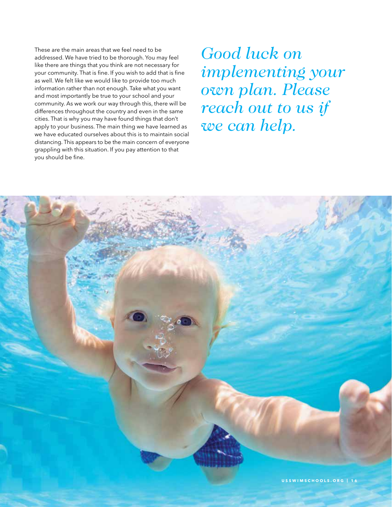These are the main areas that we feel need to be addressed. We have tried to be thorough. You may feel like there are things that you think are not necessary for your community. That is fine. If you wish to add that is fine as well. We felt like we would like to provide too much information rather than not enough. Take what you want and most importantly be true to your school and your community. As we work our way through this, there will be differences throughout the country and even in the same cities. That is why you may have found things that don't apply to your business. The main thing we have learned as we have educated ourselves about this is to maintain social distancing. This appears to be the main concern of everyone grappling with this situation. If you pay attention to that you should be fine.

*Good luck on implementing your own plan. Please reach out to us if we can help.* 

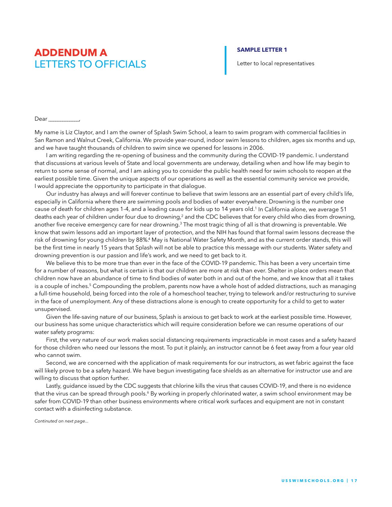### **SAMPLE LETTER 1**

Letter to local representatives

Dear **Dear** 

My name is Liz Claytor, and I am the owner of Splash Swim School, a learn to swim program with commercial facilities in San Ramon and Walnut Creek, California. We provide year-round, indoor swim lessons to children, ages six months and up, and we have taught thousands of children to swim since we opened for lessons in 2006.

I am writing regarding the re-opening of business and the community during the COVID-19 pandemic. I understand that discussions at various levels of State and local governments are underway, detailing when and how life may begin to return to some sense of normal, and I am asking you to consider the public health need for swim schools to reopen at the earliest possible time. Given the unique aspects of our operations as well as the essential community service we provide, I would appreciate the opportunity to participate in that dialogue.

Our industry has always and will forever continue to believe that swim lessons are an essential part of every child's life, especially in California where there are swimming pools and bodies of water everywhere. Drowning is the number one cause of death for children ages 1-4, and a leading cause for kids up to 14 years old.<sup>1</sup> In California alone, we average 51 deaths each year of children under four due to drowning,<sup>2</sup> and the CDC believes that for every child who dies from drowning, another five receive emergency care for near drowning.<sup>3</sup> The most tragic thing of all is that drowning is preventable. We know that swim lessons add an important layer of protection, and the NIH has found that formal swim lessons decrease the risk of drowning for young children by 88%.<sup>4</sup> May is National Water Safety Month, and as the current order stands, this will be the first time in nearly 15 years that Splash will not be able to practice this message with our students. Water safety and drowning prevention is our passion and life's work, and we need to get back to it.

We believe this to be more true than ever in the face of the COVID-19 pandemic. This has been a very uncertain time for a number of reasons, but what is certain is that our children are more at risk than ever. Shelter in place orders mean that children now have an abundance of time to find bodies of water both in and out of the home, and we know that all it takes is a couple of inches.<sup>5</sup> Compounding the problem, parents now have a whole host of added distractions, such as managing a full-time household, being forced into the role of a homeschool teacher, trying to telework and/or restructuring to survive in the face of unemployment. Any of these distractions alone is enough to create opportunity for a child to get to water unsupervised.

Given the life-saving nature of our business, Splash is anxious to get back to work at the earliest possible time. However, our business has some unique characteristics which will require consideration before we can resume operations of our water safety programs:

First, the very nature of our work makes social distancing requirements impracticable in most cases and a safety hazard for those children who need our lessons the most. To put it plainly, an instructor cannot be 6 feet away from a four year old who cannot swim.

Second, we are concerned with the application of mask requirements for our instructors, as wet fabric against the face will likely prove to be a safety hazard. We have begun investigating face shields as an alternative for instructor use and are willing to discuss that option further.

Lastly, guidance issued by the CDC suggests that chlorine kills the virus that causes COVID-19, and there is no evidence that the virus can be spread through pools.<sup>6</sup> By working in properly chlorinated water, a swim school environment may be safer from COVID-19 than other business environments where critical work surfaces and equipment are not in constant contact with a disinfecting substance.

*Continuted on next page...*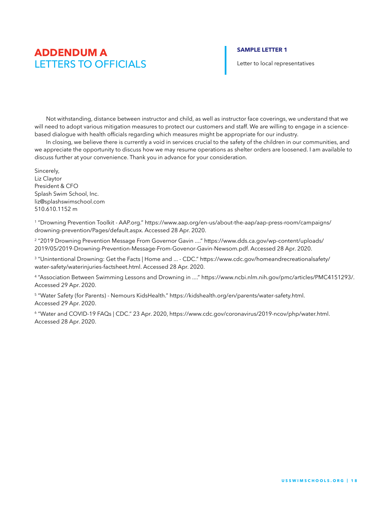### **SAMPLE LETTER 1**

Letter to local representatives

Not withstanding, distance between instructor and child, as well as instructor face coverings, we understand that we will need to adopt various mitigation measures to protect our customers and staff. We are willing to engage in a sciencebased dialogue with health officials regarding which measures might be appropriate for our industry.

In closing, we believe there is currently a void in services crucial to the safety of the children in our communities, and we appreciate the opportunity to discuss how we may resume operations as shelter orders are loosened. I am available to discuss further at your convenience. Thank you in advance for your consideration.

Sincerely, Liz Claytor President & CFO Splash Swim School, Inc. liz@splashswimschool.com 510.610.1152 m

1 "Drowning Prevention Toolkit - AAP.org." https://www.aap.org/en-us/about-the-aap/aap-press-room/campaigns/ drowning-prevention/Pages/default.aspx. Accessed 28 Apr. 2020.

2 "2019 Drowning Prevention Message From Governor Gavin ...." https://www.dds.ca.gov/wp-content/uploads/ 2019/05/2019-Drowning-Prevention-Message-From-Govenor-Gavin-Newsom.pdf. Accessed 28 Apr. 2020.

3 "Unintentional Drowning: Get the Facts | Home and ... - CDC." https://www.cdc.gov/homeandrecreationalsafety/ water-safety/waterinjuries-factsheet.html. Accessed 28 Apr. 2020.

4 "Association Between Swimming Lessons and Drowning in ...." https://www.ncbi.nlm.nih.gov/pmc/articles/PMC4151293/. Accessed 29 Apr. 2020.

<sup>5</sup> "Water Safety (for Parents) - Nemours KidsHealth." https://kidshealth.org/en/parents/water-safety.html. Accessed 29 Apr. 2020.

6 "Water and COVID-19 FAQs | CDC." 23 Apr. 2020, https://www.cdc.gov/coronavirus/2019-ncov/php/water.html. Accessed 28 Apr. 2020.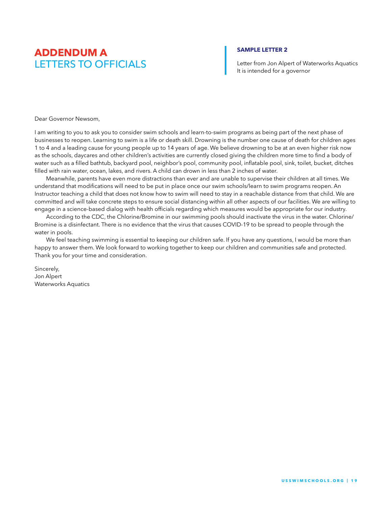### **SAMPLE LETTER 2**

Letter from Jon Alpert of Waterworks Aquatics It is intended for a governor

Dear Governor Newsom,

I am writing to you to ask you to consider swim schools and learn-to-swim programs as being part of the next phase of businesses to reopen. Learning to swim is a life or death skill. Drowning is the number one cause of death for children ages 1 to 4 and a leading cause for young people up to 14 years of age. We believe drowning to be at an even higher risk now as the schools, daycares and other children's activities are currently closed giving the children more time to find a body of water such as a filled bathtub, backyard pool, neighbor's pool, community pool, inflatable pool, sink, toilet, bucket, ditches filled with rain water, ocean, lakes, and rivers. A child can drown in less than 2 inches of water.

Meanwhile, parents have even more distractions than ever and are unable to supervise their children at all times. We understand that modifications will need to be put in place once our swim schools/learn to swim programs reopen. An Instructor teaching a child that does not know how to swim will need to stay in a reachable distance from that child. We are committed and will take concrete steps to ensure social distancing within all other aspects of our facilities. We are willing to engage in a science-based dialog with health officials regarding which measures would be appropriate for our industry.

According to the CDC, the Chlorine/Bromine in our swimming pools should inactivate the virus in the water. Chlorine/ Bromine is a disinfectant. There is no evidence that the virus that causes COVID-19 to be spread to people through the water in pools.

We feel teaching swimming is essential to keeping our children safe. If you have any questions, I would be more than happy to answer them. We look forward to working together to keep our children and communities safe and protected. Thank you for your time and consideration.

Sincerely, Jon Alpert Waterworks Aquatics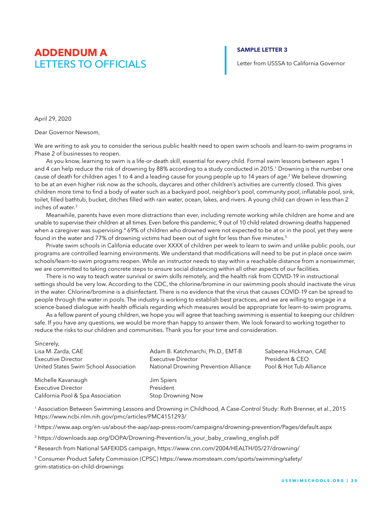### **SAMPLE LETTER 3**

Letter from USSSA to California Governor

April 29, 2020

Sincerely,

Dear Governor Newsom,

We are writing to ask you to consider the serious public health need to open swim schools and learn-to-swim programs in Phase 2 of businesses to reopen.

As you know, learning to swim is a life-or-death skill, essential for every child. Formal swim lessons between ages 1 and 4 can help reduce the risk of drowning by 88% according to a study conducted in 2015.<sup>1</sup> Drowning is the number one cause of death for children ages 1 to 4 and a leading cause for young people up to 14 years of age.<sup>2</sup> We believe drowning to be at an even higher risk now as the schools, daycares and other children's activities are currently closed. This gives children more time to find a body of water such as a backyard pool, neighbor's pool, community pool, inflatable pool, sink, toilet, filled bathtub, bucket, ditches filled with rain water, ocean, lakes, and rivers. A young child can drown in less than 2 inches of water.3

Meanwhile, parents have even more distractions than ever, including remote working while children are home and are unable to supervise their children at all times. Even before this pandemic, 9 out of 10 child related drowning deaths happened when a caregiver was supervising.<sup>4</sup> 69% of children who drowned were not expected to be at or in the pool, yet they were found in the water and 77% of drowning victims had been out of sight for less than five minutes.<sup>5</sup>

Private swim schools in Califonia educate over XXXX of children per week to learn to swim and unlike public pools, our programs are controlled learning environments. We understand that modifications will need to be put in place once swim schools/learn-to-swim programs reopen. While an instructor needs to stay within a reachable distance from a nonswimmer, we are committed to taking concrete steps to ensure social distancing within all other aspects of our facilities.

There is no way to teach water survival or swim skills remotely, and the health risk from COVID-19 in instructional settings should be very low. According to the CDC, the chlorine/bromine in our swimming pools should inactivate the virus in the water. Chlorine/bromine is a disinfectant. There is no evidence that the virus that causes COVID-19 can be spread to people through the water in pools. The industry is working to establish best practices, and we are willing to engage in a science-based dialogue with health officials regarding which measures would be appropriate for learn-to-swim programs.

As a fellow parent of young children, we hope you will agree that teaching swimming is essential to keeping our children safe. If you have any questions, we would be more than happy to answer them. We look forward to working together to reduce the risks to our children and communities. Thank you for your time and consideration.

| Sincerely,                            |                                       |                         |
|---------------------------------------|---------------------------------------|-------------------------|
| Lisa M. Zarda, CAE                    | Adam B. Katchmarchi, Ph.D., EMT-B     | Sabeena Hickman, CAE    |
| <b>Executive Director</b>             | <b>Executive Director</b>             | President & CEO         |
| United States Swim School Association | National Drowning Prevention Alliance | Pool & Hot Tub Alliance |
| Michelle Kavanaugh                    | Jim Spiers                            |                         |
| <b>Executive Director</b>             | President                             |                         |
| California Pool & Spa Association     | Stop Drowning Now                     |                         |
|                                       |                                       |                         |

1 Association Between Swimming Lessons and Drowning in Childhood, A Case-Control Study: Ruth Brenner, et al., 2015 https://www.ncbi.nlm.nih.gov/pmc/articles/PMC4151293/

2 https://www.aap.org/en-us/about-the-aap/aap-press-room/campaigns/drowning-prevention/Pages/default.aspx

3 https://downloads.aap.org/DOPA/Drowning-Prevention/is\_your\_baby\_crawling\_english.pdf

<sup>4</sup> Research from National SAFEKIDS campaign, https://www.cnn.com/2004/HEALTH/05/27/drowning/

5 Consumer Product Safety Commission (CPSC) https://www.momsteam.com/sports/swimming/safety/ grim-statistics-on-child-drownings